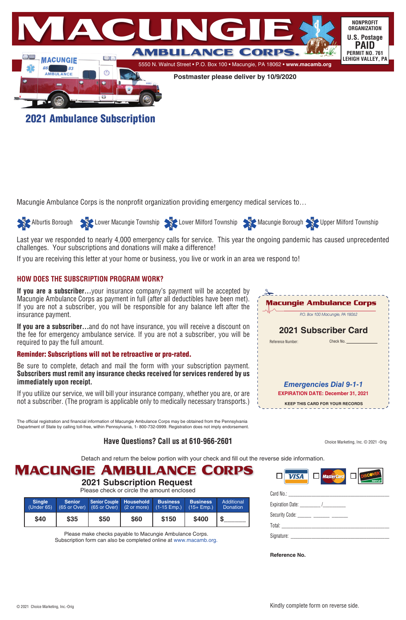

2021 Ambulance Subscription

Macungie Ambulance Corps is the nonprofit organization providing emergency medical services to…



Last year we responded to nearly 4,000 emergency calls for service. This year the ongoing pandemic has caused unprecedented challenges. Your subscriptions and donations will make a difference!

If you are receiving this letter at your home or business, you live or work in an area we respond to!

### **HOW DOES THE SUBSCRIPTION PROGRAM WORK?**

**If you are a subscriber...**your insurance company's payment will be accepted by Macungie Ambulance Corps as payment in full (after all deductibles have been met). If you are not a subscriber, you will be responsible for any balance left after the insurance payment.

**If you are a subscriber...**and do not have insurance, you will receive a discount on the fee for emergency ambulance service. If you are not a subscriber, you will be required to pay the full amount.

#### Reminder: Subscriptions will not be retroactive or pro-rated.

Be sure to complete, detach and mail the form with your subscription payment. **Subscribers must remit any insurance checks received for services rendered by us immediately upon receipt.**

If you utilize our service, we will bill your insurance company, whether you are, or are not a subscriber. (The program is applicable only to medically necessary transports.)

The official registration and financial information of Macungie Ambulance Corps may be obtained from the Pennsylvania Department of State by calling toll-free, within Pennsylvania, 1- 800-732-0999. Registration does not imply endorsement.

### **Have Questions? Call us at 610-966-2601**

Macungie Ambulance Corps P.O. Box 100 Macungie, PA 18062 **2021 Subscriber Card** Reference Number: Check No. *Emergencies Dial 9-1-1* **EXPIRATION DATE: December 31, 2021 KEEP THIS CARD FOR YOUR RECORDS**

Detach and return the below portion with your check and fill out the reverse side information.

## **Macungie Ambulance Corps**

### **2021 Subscription Request**

Please check or circle the amount enclosed

| <b>Single</b><br>(Under 65) | <b>Senior</b> | Senior Couple Household Business<br>$(65$ or Over) $(65$ or Over) $(2 \text{ or more})$ $(1-15 \text{ Emp.})$ |      |       | <b>Business</b><br>$(15 + Emp.)$ | Additional<br>Donation |
|-----------------------------|---------------|---------------------------------------------------------------------------------------------------------------|------|-------|----------------------------------|------------------------|
| \$40                        | \$35          | \$50                                                                                                          | \$60 | \$150 | \$400                            |                        |

Please make checks payable to Macungie Ambulance Corps. Subscription form can also be completed online at www.macamb.org.



Choice Marketing, Inc. © 2021 -Orig

**Reference No.**